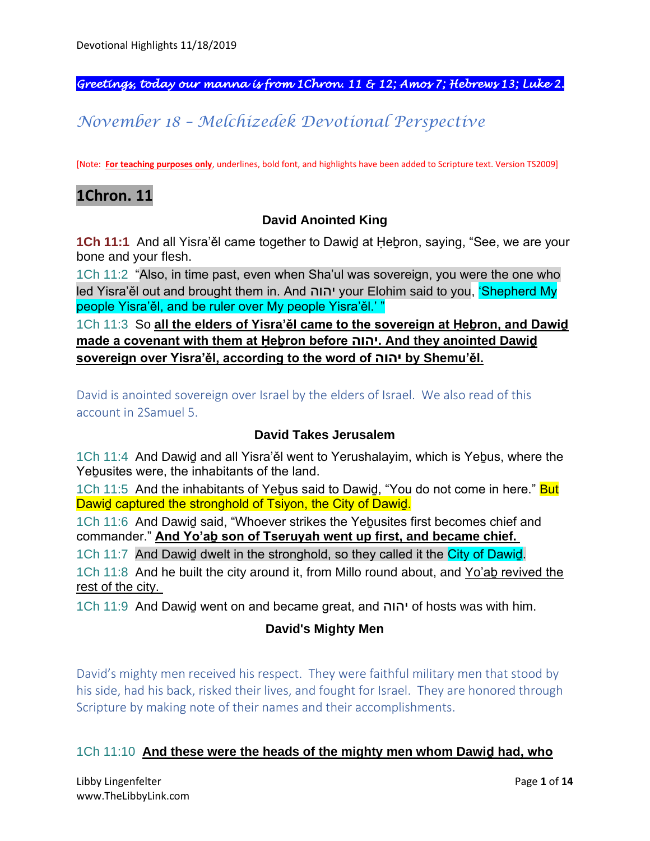*Greetings, today our manna is from 1Chron. 11 & 12; Amos 7; Hebrews 13; Luke 2.* 

# *November 18 – Melchizedek Devotional Perspective*

[Note: **For teaching purposes only**, underlines, bold font, and highlights have been added to Scripture text. Version TS2009]

# **1Chron. 11**

#### **David Anointed King**

**1Ch 11:1** And all Yisra'ěl came together to Dawiḏ at Ḥeḇron, saying, "See, we are your bone and your flesh.

1Ch 11:2 "Also, in time past, even when Sha'ul was sovereign, you were the one who led Yisra'ěl out and brought them in. And יהוה your Elohim said to you, 'Shepherd My people Yisra'ěl, and be ruler over My people Yisra'ěl.' "

1Ch 11:3 So **all the elders of Yisra'ěl came to the sovereign at Ḥeḇron, and Dawiḏ made a covenant with them at Ḥeḇron before יהוה. And they anointed Dawiḏ sovereign over Yisra'ěl, according to the word of יהוה by Shemu'ěl.**

David is anointed sovereign over Israel by the elders of Israel. We also read of this account in 2Samuel 5.

#### **David Takes Jerusalem**

1Ch 11:4 And Dawiḏ and all Yisra'ěl went to Yerushalayim, which is Yeḇus, where the Yeḇusites were, the inhabitants of the land.

1Ch 11:5 And the inhabitants of Yebus said to Dawid, "You do not come in here." But Dawiḏ captured the stronghold of Tsiyon, the City of Dawiḏ.

1Ch 11:6 And Dawiḏ said, "Whoever strikes the Yeḇusites first becomes chief and commander." **And Yo'aḇ son of Tseruyah went up first, and became chief.**

1Ch 11:7 And Dawiḏ dwelt in the stronghold, so they called it the City of Dawiḏ.

1Ch 11:8 And he built the city around it, from Millo round about, and Yo'ab revived the rest of the city.

1Ch 11:9 And Dawiḏ went on and became great, and יהוה of hosts was with him.

#### **David's Mighty Men**

David's mighty men received his respect. They were faithful military men that stood by his side, had his back, risked their lives, and fought for Israel. They are honored through Scripture by making note of their names and their accomplishments.

#### 1Ch 11:10 **And these were the heads of the mighty men whom Dawiḏ had, who**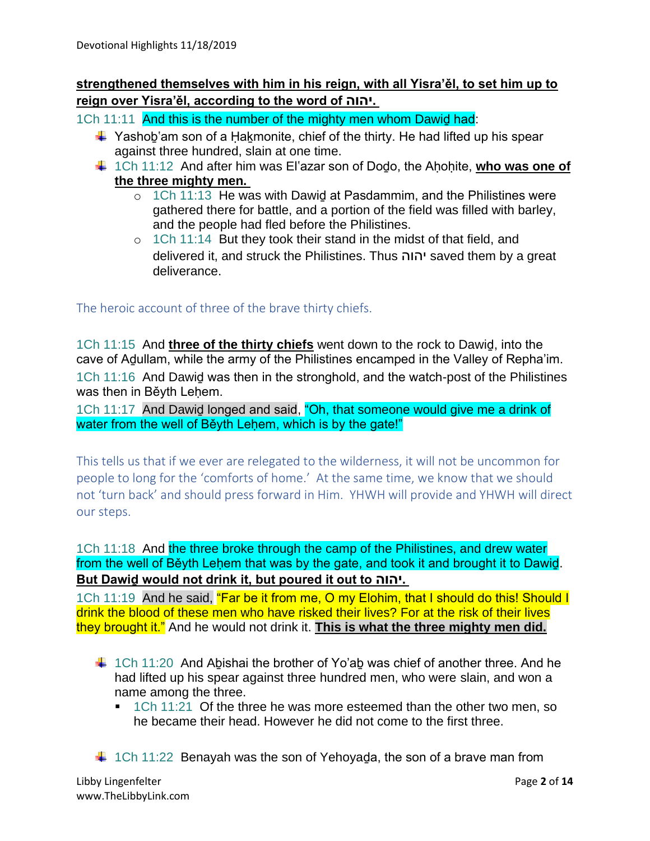# **strengthened themselves with him in his reign, with all Yisra'ěl, to set him up to reign over Yisra'ěl, according to the word of יהוה.**

1Ch 11:11 And this is the number of the mighty men whom Dawid had:

- $\ddot{\text{+}}$  Yashob'am son of a Hakmonite, chief of the thirty. He had lifted up his spear against three hundred, slain at one time.
- ↓ 1Ch 11:12 And after him was El'azar son of Dodo, the Ahohite, who was one of **the three mighty men.**
	- $\circ$  1Ch 11:13 He was with Dawid at Pasdammim, and the Philistines were gathered there for battle, and a portion of the field was filled with barley, and the people had fled before the Philistines.
	- o 1Ch 11:14 But they took their stand in the midst of that field, and delivered it, and struck the Philistines. Thus יהוה saved them by a great deliverance.

The heroic account of three of the brave thirty chiefs.

1Ch 11:15 And **three of the thirty chiefs** went down to the rock to Dawiḏ, into the cave of Aḏullam, while the army of the Philistines encamped in the Valley of Repha'im. 1Ch 11:16 And Dawiḏ was then in the stronghold, and the watch-post of the Philistines was then in Běyth Lehem.

1Ch 11:17 And Dawid longed and said, "Oh, that someone would give me a drink of water from the well of Běyth Leḥem, which is by the gate!"

This tells us that if we ever are relegated to the wilderness, it will not be uncommon for people to long for the 'comforts of home.' At the same time, we know that we should not 'turn back' and should press forward in Him. YHWH will provide and YHWH will direct our steps.

1Ch 11:18 And the three broke through the camp of the Philistines, and drew water from the well of Běyth Leḥem that was by the gate, and took it and brought it to Dawiḏ. **But Dawiḏ would not drink it, but poured it out to יהוה.**

1Ch 11:19 And he said, "Far be it from me, O my Elohim, that I should do this! Should I drink the blood of these men who have risked their lives? For at the risk of their lives they brought it." And he would not drink it. **This is what the three mighty men did.**

- $\ddot{+}$  1Ch 11:20 And Abishai the brother of Yo'ab was chief of another three. And he had lifted up his spear against three hundred men, who were slain, and won a name among the three.
	- 1Ch 11:21 Of the three he was more esteemed than the other two men, so he became their head. However he did not come to the first three.
- $\ddagger$  1Ch 11:22 Benayah was the son of Yehoyaḍa, the son of a brave man from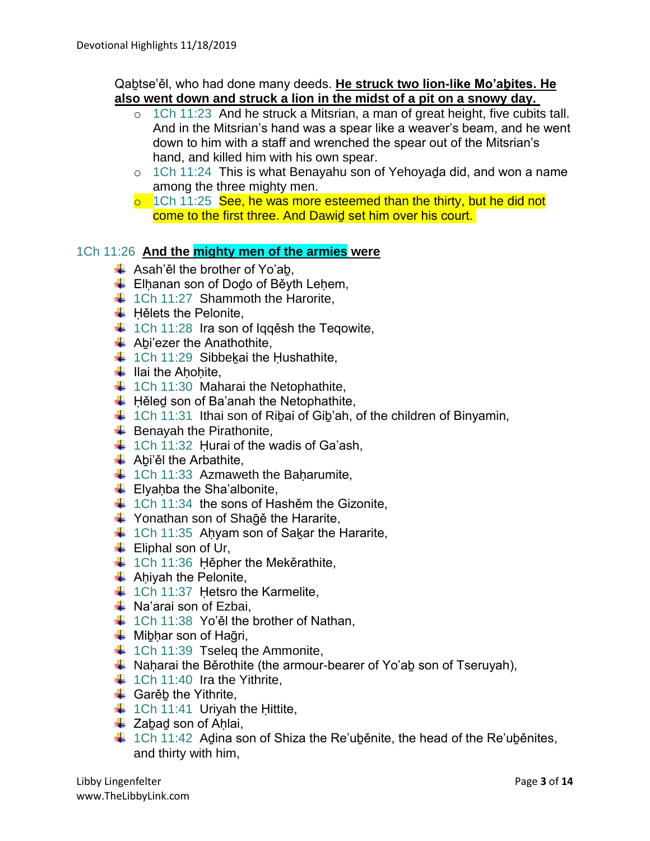#### Qaḇtse'ěl, who had done many deeds. **He struck two lion-like Mo'aḇites. He also went down and struck a lion in the midst of a pit on a snowy day.**

- o 1Ch 11:23 And he struck a Mitsrian, a man of great height, five cubits tall. And in the Mitsrian's hand was a spear like a weaver's beam, and he went down to him with a staff and wrenched the spear out of the Mitsrian's hand, and killed him with his own spear.
- o 1Ch 11:24 This is what Benayahu son of Yehoyaḏa did, and won a name among the three mighty men.
- $\overline{5}$  1Ch 11:25 See, he was more esteemed than the thirty, but he did not come to the first three. And Dawiḏ set him over his court.

#### 1Ch 11:26 **And the mighty men of the armies were**

- $\overline{\phantom{a} \bullet}$  Asah'ěl the brother of Yo'ab.
- $\overline{\phantom{a} \bullet}$  Elhanan son of Dodo of Běyth Lehem,
- $\downarrow$  1Ch 11:27 Shammoth the Harorite,
- $\bigstar$  Hělets the Pelonite,
- $\downarrow$  1Ch 11:28 Ira son of Iqqěsh the Teqowite,
- $\bigstar$  Abi'ezer the Anathothite,
- $\downarrow$  1Ch 11:29 Sibbekai the Hushathite,
- $\ddot$  Ilai the Ahohite,
- $\downarrow$  1Ch 11:30 Maharai the Netophathite,
- $\overline{\phantom{a}}$  Hěled son of Ba'anah the Netophathite,
- $\downarrow$  1Ch 11:31 Ithai son of Ribai of Gib'ah, of the children of Binyamin,
- $\overline{\phantom{a}}$  Benayah the Pirathonite,
- $\downarrow$  1Ch 11:32 Hurai of the wadis of Ga'ash,
- $\downarrow$  Abi'ěl the Arbathite,
- $\downarrow$  1Ch 11:33 Azmaweth the Baharumite,
- $\bigcup$  Elyahba the Sha'albonite,
- $\downarrow$  1Ch 11:34 the sons of Hashěm the Gizonite,
- $\downarrow$  Yonathan son of Sha $\bar{q}$ ě the Hararite,
- $\downarrow$  1Ch 11:35 Ahyam son of Sakar the Hararite,
- $\leftarrow$  Eliphal son of Ur,
- $\downarrow$  1Ch 11:36 Hěpher the Mekěrathite,
- $\overline{\phantom{a}}$  Ahiyah the Pelonite,
- $\downarrow$  1Ch 11:37 Hetsro the Karmelite,
- $\downarrow$  Na'arai son of Ezbai,
- $\downarrow$  1Ch 11:38 Yo'ěl the brother of Nathan,
- $\overline{\phantom{a}}$  Mibhar son of Hağri,
- $\downarrow$  1Ch 11:39 Tseleq the Ammonite,
- $\ddot{+}$  Naḥarai the Běrothite (the armour-bearer of Yo'ab son of Tseruyah),
- $\downarrow$  1Ch 11:40 Ira the Yithrite,
- $\triangleq$  Garěb the Yithrite,
- $\ddagger$  1Ch 11:41 Uriyah the Hittite,
- $\overline{\phantom{a}}$  Zabad son of Ahlai,
- $\ddot{+}$  1Ch 11:42 Adina son of Shiza the Re'uběnite, the head of the Re'uběnites, and thirty with him,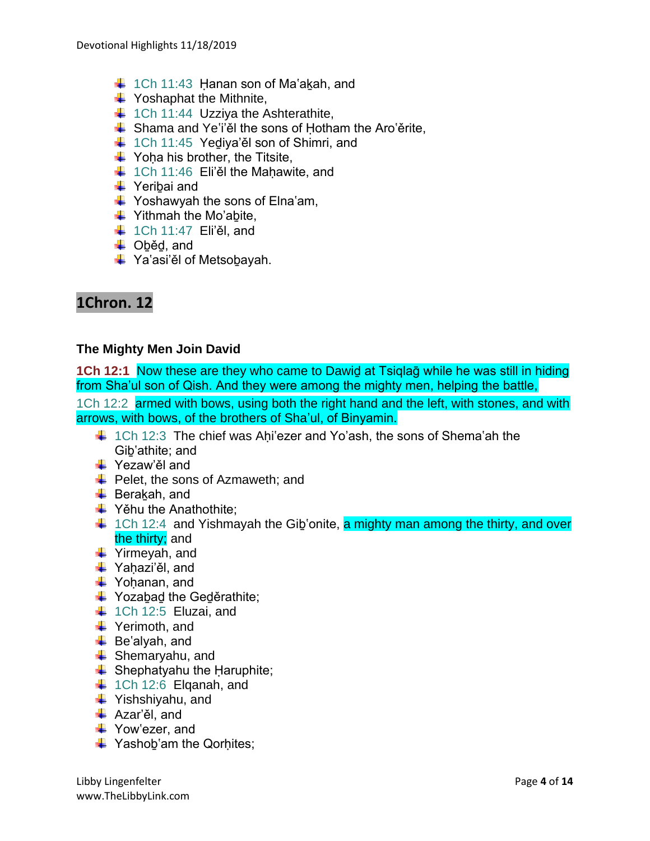- $\downarrow$  1Ch 11:43 Hanan son of Ma'akah, and
- $\bigstar$  Yoshaphat the Mithnite,
- $\downarrow$  1Ch 11:44 Uzziya the Ashterathite,
- $\frac{1}{\sqrt{2}}$  Shama and Ye'i'el the sons of Hotham the Aro'erite,
- $\downarrow$  1Ch 11:45 Yediya'ěl son of Shimri, and
- $\downarrow$  Yoha his brother, the Titsite,
- $\downarrow$  1Ch 11:46 Eli'ěl the Mahawite, and
- **→** Yeribai and
- $\downarrow$  Yoshawyah the sons of Elna'am,
- $\ddot{\bullet}$  Yithmah the Mo'abite,
- $\downarrow$  1Ch 11:47 Eli'ěl, and
- **↓** Oběd, and
- **↓** Ya'asi'ěl of Metsobayah.

# **1Chron. 12**

#### **The Mighty Men Join David**

**1Ch 12:1** Now these are they who came to Dawiḏ at Tsiqlaḡ while he was still in hiding from Sha'ul son of Qish. And they were among the mighty men, helping the battle,

1Ch 12:2 armed with bows, using both the right hand and the left, with stones, and with arrows, with bows, of the brothers of Sha'ul, of Binyamin.

- $\ddot{\bullet}$  1Ch 12:3 The chief was Ahi'ezer and Yo'ash, the sons of Shema'ah the Giḇ'athite; and
- **↓** Yezaw'ěl and
- $\overline{\text{I}}$  Pelet, the sons of Azmaweth; and
- $\overline{\phantom{a}}$  Berakah, and
- $\bigstar$  Yěhu the Anathothite:
- $\downarrow$  1Ch 12:4 and Yishmayah the Gib'onite, a mighty man among the thirty, and over the thirty; and
- Yirmeyah, and
- $\downarrow$  Yahazi'ěl, and
- $\downarrow$  Yohanan, and
- $\bigstar$  Yozabad the Geděrathite;
- $\downarrow$  1Ch 12:5 Eluzai, and
- **↓** Yerimoth, and
- $\leftarrow$  Be'alyah, and
- $\triangleq$  Shemarvahu, and
- $\triangleq$  Shephatyahu the Haruphite;
- $\downarrow$  1Ch 12:6 Elganah, and
- $\ddot{\bullet}$  Yishshiyahu, and
- Azar'ěl, and
- Yow'ezer, and
- $\bigstar$  Yashob'am the Qorhites;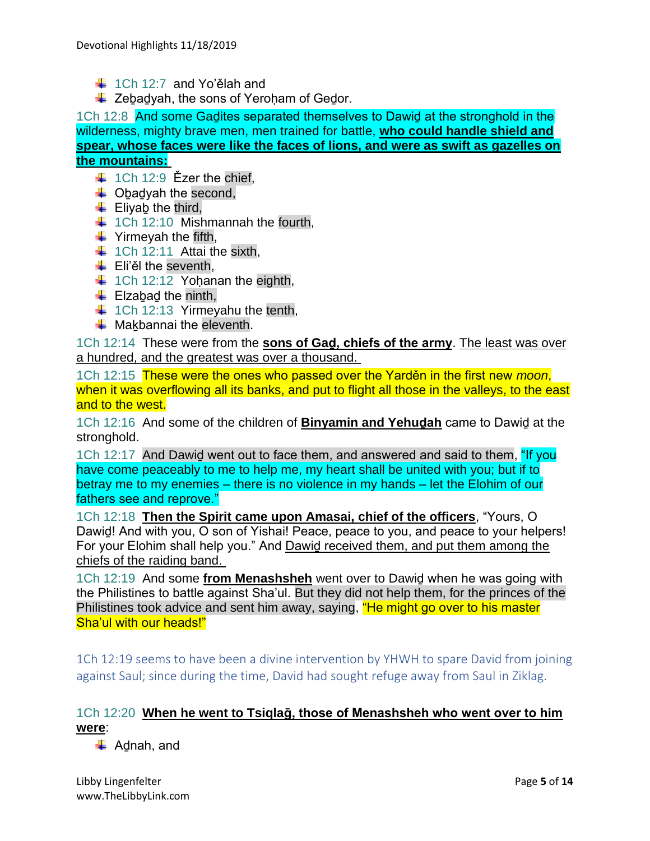- $\ddot{\bullet}$  1Ch 12:7 and Yo'ělah and
- $\downarrow$  Zebadyah, the sons of Yeroham of Gedor.

1Ch 12:8 And some Gadites separated themselves to Dawid at the stronghold in the wilderness, mighty brave men, men trained for battle, **who could handle shield and spear, whose faces were like the faces of lions, and were as swift as gazelles on the mountains:**

- $\div$  1Ch 12:9 Ezer the chief.
- $\overline{\phantom{a}}$  Obadyah the second,
- $\overline{\phantom{a}}$  Eliyab the third,
- $\downarrow$  1Ch 12:10 Mishmannah the fourth,
- $\ddot{\bullet}$  Yirmeyah the fifth,
- $\ddagger$  1Ch 12:11 Attai the sixth,
- $\ddot{\bullet}$  Eli'ěl the seventh,
- $\downarrow$  1Ch 12:12 Yohanan the eighth,
- $\leftarrow$  Elzabad the ninth,
- $\downarrow$  1Ch 12:13 Yirmeyahu the tenth,
- $\leftarrow$  Makbannai the eleventh.

1Ch 12:14 These were from the **sons of Gaḏ, chiefs of the army**. The least was over a hundred, and the greatest was over a thousand.

1Ch 12:15 These were the ones who passed over the Yarděn in the first new *moon*, when it was overflowing all its banks, and put to flight all those in the valleys, to the east and to the west.

1Ch 12:16 And some of the children of **Binyamin and Yehuḏah** came to Dawiḏ at the stronghold.

1Ch 12:17 And Dawid went out to face them, and answered and said to them, "If you have come peaceably to me to help me, my heart shall be united with you; but if to betray me to my enemies – there is no violence in my hands – let the Elohim of our fathers see and reprove."

1Ch 12:18 **Then the Spirit came upon Amasai, chief of the officers**, "Yours, O Dawid! And with you, O son of Yishai! Peace, peace to you, and peace to your helpers! For your Elohim shall help you." And Dawiḏ received them, and put them among the chiefs of the raiding band.

1Ch 12:19 And some **from Menashsheh** went over to Dawiḏ when he was going with the Philistines to battle against Sha'ul. But they did not help them, for the princes of the Philistines took advice and sent him away, saying, "He might go over to his master Sha'ul with our heads!"

1Ch 12:19 seems to have been a divine intervention by YHWH to spare David from joining against Saul; since during the time, David had sought refuge away from Saul in Ziklag.

# 1Ch 12:20 **When he went to Tsiqlaḡ, those of Menashsheh who went over to him were**:

 $\overline{\phantom{a}}$  Adnah, and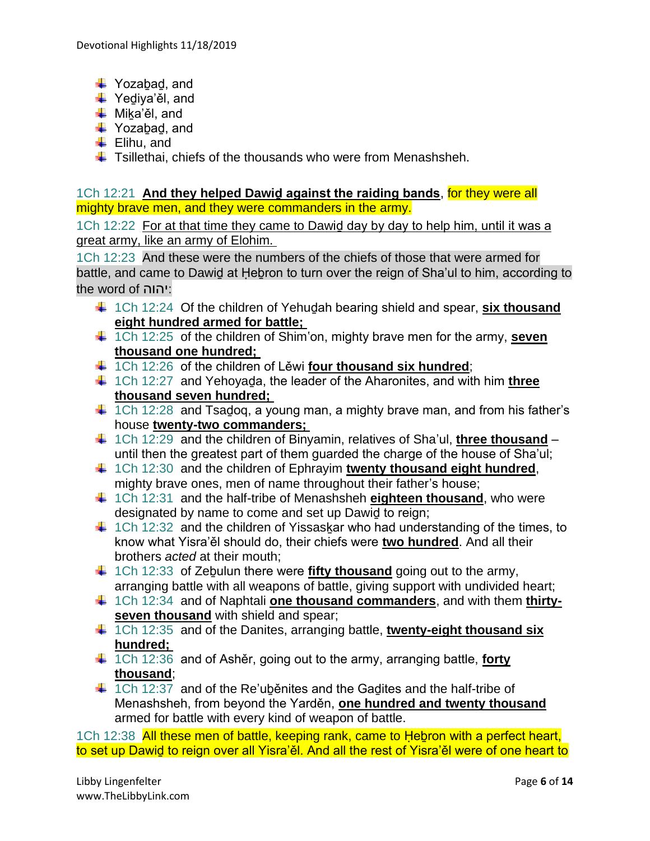- $\downarrow$  Yozabad, and
- $\overline{\mathbf{V}}$  Yediya'ěl, and
- **↓** Mika'ěl, and
- $\overline{\phantom{a}}$  Yozabad, and
- $\leftarrow$  Elihu, and
- $\ddot{\text{+}}$  Tsillethai, chiefs of the thousands who were from Menashsheh.

1Ch 12:21 **And they helped Dawiḏ against the raiding bands**, for they were all mighty brave men, and they were commanders in the army.

1Ch 12:22 For at that time they came to Dawiḏ day by day to help him, until it was a great army, like an army of Elohim.

1Ch 12:23 And these were the numbers of the chiefs of those that were armed for battle, and came to Dawid at Hebron to turn over the reign of Sha'ul to him, according to the word of יהוה:

- 1Ch 12:24 Of the children of Yehuḏah bearing shield and spear, **six thousand eight hundred armed for battle;**
- 1Ch 12:25 of the children of Shim'on, mighty brave men for the army, **seven thousand one hundred;**
- 1Ch 12:26 of the children of Lěwi **four thousand six hundred**;
- 1Ch 12:27 and Yehoyaḏa, the leader of the Aharonites, and with him **three thousand seven hundred;**
- $\ddagger$  1Ch 12:28 and Tsadog, a young man, a mighty brave man, and from his father's house **twenty-two commanders;**
- 1Ch 12:29 and the children of Binyamin, relatives of Sha'ul, **three thousand** until then the greatest part of them guarded the charge of the house of Sha'ul;
- <sup>+</sup> 1Ch 12:30 and the children of Ephrayim twenty thousand eight hundred, mighty brave ones, men of name throughout their father's house;
- $\frac{1}{2}$  **1Ch 12:31 and the half-tribe of Menashsheh eighteen thousand, who were** designated by name to come and set up Dawiḏ to reign;
- $\ddot{+}$  1Ch 12:32 and the children of Yissaskar who had understanding of the times, to know what Yisra'ěl should do, their chiefs were **two hundred**. And all their brothers *acted* at their mouth;
- <sup>1</sup>/4 1Ch 12:33 of Zebulun there were **fifty thousand** going out to the army, arranging battle with all weapons of battle, giving support with undivided heart;
- 1Ch 12:34 and of Naphtali **one thousand commanders**, and with them **thirtyseven thousand** with shield and spear;
- <sup>4</sup> 1Ch 12:35 and of the Danites, arranging battle, **twenty-eight thousand six hundred;**
- 1Ch 12:36 and of Ashěr, going out to the army, arranging battle, **forty thousand**;
- $\ddagger$  1Ch 12:37 and of the Re'ubenites and the Gadites and the half-tribe of Menashsheh, from beyond the Yarděn, **one hundred and twenty thousand** armed for battle with every kind of weapon of battle.

1Ch 12:38 All these men of battle, keeping rank, came to Hebron with a perfect heart, to set up Dawid to reign over all Yisra'ěl. And all the rest of Yisra'ěl were of one heart to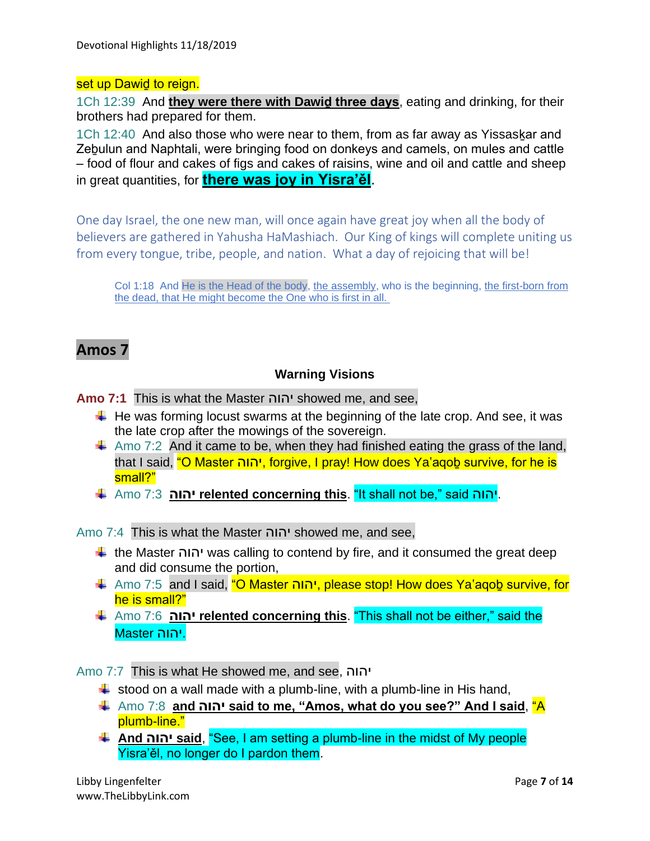#### set up Dawid to reign.

1Ch 12:39 And **they were there with Dawiḏ three days**, eating and drinking, for their brothers had prepared for them.

1Ch 12:40 And also those who were near to them, from as far away as Yissaskar and Zeḇulun and Naphtali, were bringing food on donkeys and camels, on mules and cattle – food of flour and cakes of figs and cakes of raisins, wine and oil and cattle and sheep in great quantities, for **there was joy in Yisra'ěl**.

One day Israel, the one new man, will once again have great joy when all the body of believers are gathered in Yahusha HaMashiach. Our King of kings will complete uniting us from every tongue, tribe, people, and nation. What a day of rejoicing that will be!

Col 1:18 And He is the Head of the body, the assembly, who is the beginning, the first-born from the dead, that He might become the One who is first in all.

# **Amos 7**

#### **Warning Visions**

**Amo 7:1** This is what the Master יהוה showed me, and see,

- $\ddotplus$  He was forming locust swarms at the beginning of the late crop. And see, it was the late crop after the mowings of the sovereign.
- $\downarrow$  Amo 7:2 And it came to be, when they had finished eating the grass of the land, that I said, "O Master יהוה, forgive, I pray! How does Ya'agob survive, for he is small?"
- Amo 7:3 **יהוה relented concerning this**. "It shall not be," said יהוה.

Amo 7:4 This is what the Master יהוה showed me, and see,

- the Master יהוה was calling to contend by fire, and it consumed the great deep and did consume the portion,
- Amo 7:5 and I said, "O Master יהוה, please stop! How does Ya'aqoḇ survive, for he is small?"
- Amo 7:6 **יהוה relented concerning this**. "This shall not be either," said the .יהוה Master

Amo 7:7 This is what He showed me, and see, יהוה

- $\ddot{\text{+}}$  stood on a wall made with a plumb-line, with a plumb-line in His hand,
- Amo 7:8 **and יהוה said to me, "Amos, what do you see?" And I said**, "A plumb-line."
- **And יהוה said**, "See, I am setting a plumb-line in the midst of My people Yisra'ěl, no longer do I pardon them.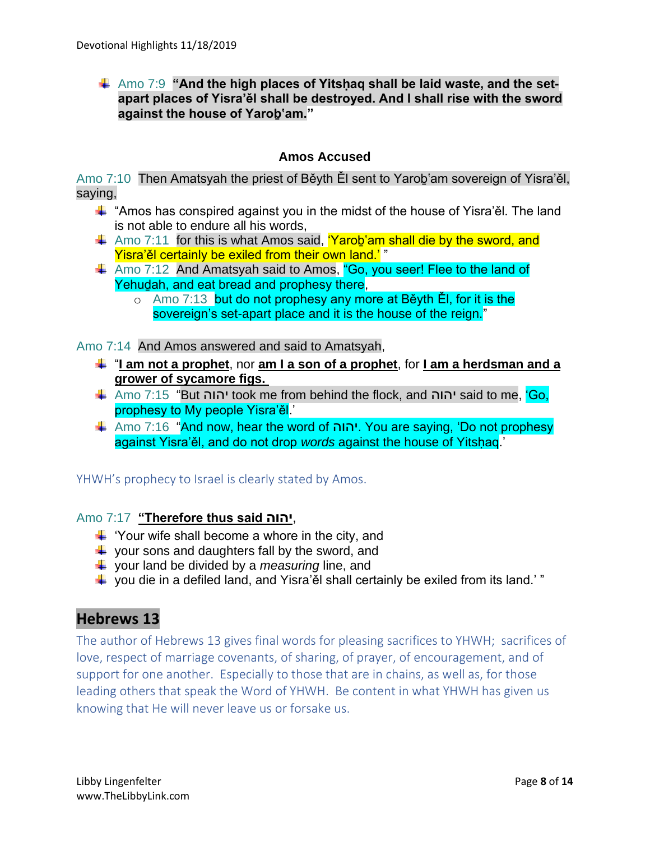### Amo 7:9 "And the high places of Yitshag shall be laid waste, and the set**apart places of Yisra'ěl shall be destroyed. And I shall rise with the sword against the house of Yaroḇ'am."**

### **Amos Accused**

Amo 7:10 Then Amatsyah the priest of Běyth Ěl sent to Yaroḇ'am sovereign of Yisra'ěl, saying,

- $\ddot$  "Amos has conspired against you in the midst of the house of Yisra'ěl. The land is not able to endure all his words,
- $\pm$  Amo 7:11 for this is what Amos said, 'Yarob'am shall die by the sword, and Yisra'ěl certainly be exiled from their own land.' "
- Amo 7:12 And Amatsyah said to Amos, "Go, you seer! Flee to the land of Yehuḏah, and eat bread and prophesy there,
	- o Amo 7:13 but do not prophesy any more at Běyth Ěl, for it is the sovereign's set-apart place and it is the house of the reign."

Amo 7:14 And Amos answered and said to Amatsyah,

- "**I am not a prophet**, nor **am I a son of a prophet**, for **I am a herdsman and a grower of sycamore figs.**
- Amo 7:15 "But יהוה took me from behind the flock, and יהוה said to me, 'Go, prophesy to My people Yisra'ěl.'
- Amo 7:16 "And now, hear the word of יהוה. You are saying, 'Do not prophesy against Yisra'ěl, and do not drop *words* against the house of Yitsḥaq.'

#### YHWH's prophecy to Israel is clearly stated by Amos.

#### Amo 7:17 **"Therefore thus said יהוה**,

- $\downarrow$  'Your wife shall become a whore in the city, and
- $\downarrow$  your sons and daughters fall by the sword, and
- your land be divided by a *measuring* line, and
- $\ddot{\bullet}$  you die in a defiled land, and Yisra'ěl shall certainly be exiled from its land.' "

# **Hebrews 13**

The author of Hebrews 13 gives final words for pleasing sacrifices to YHWH; sacrifices of love, respect of marriage covenants, of sharing, of prayer, of encouragement, and of support for one another. Especially to those that are in chains, as well as, for those leading others that speak the Word of YHWH. Be content in what YHWH has given us knowing that He will never leave us or forsake us.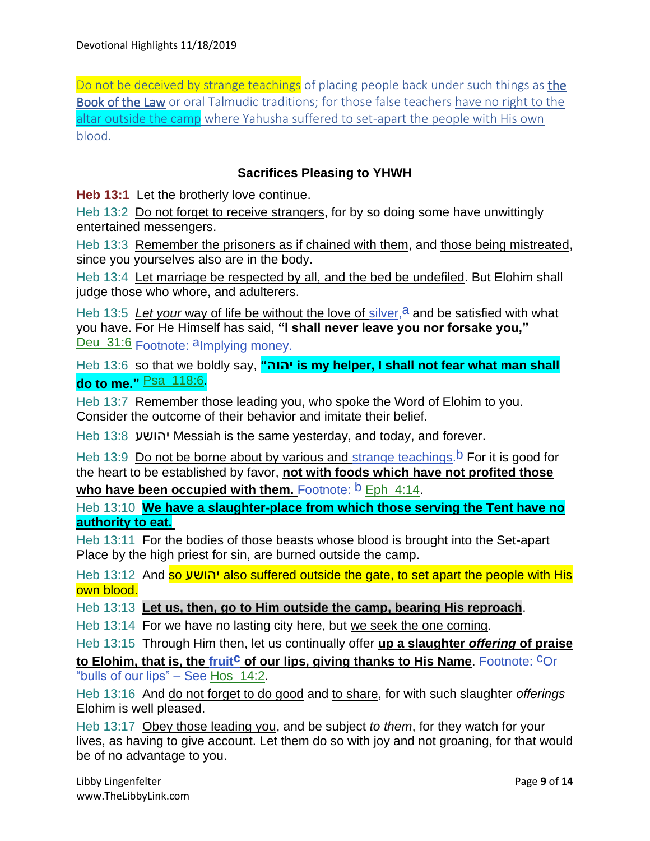Do not be deceived by strange teachings of placing people back under such things as the Book of the Law or oral Talmudic traditions; for those false teachers have no right to the altar outside the camp where Yahusha suffered to set-apart the people with His own blood.

## **Sacrifices Pleasing to YHWH**

**Heb 13:1** Let the brotherly love continue.

Heb 13:2 Do not forget to receive strangers, for by so doing some have unwittingly entertained messengers.

Heb 13:3 Remember the prisoners as if chained with them, and those being mistreated, since you yourselves also are in the body.

Heb 13:4 Let marriage be respected by all, and the bed be undefiled. But Elohim shall judge those who whore, and adulterers.

Heb 13:5 Let your way of life be without the love of silver,  $a$  and be satisfied with what you have. For He Himself has said, **"I shall never leave you nor forsake you,"** Deu\_31:6 Footnote: aImplying money.

Heb 13:6 so that we boldly say, "**is my helper, I shall not fear what man shall do to me."** Psa\_118:6.

Heb 13:7 Remember those leading you, who spoke the Word of Elohim to you. Consider the outcome of their behavior and imitate their belief.

Heb 13:8 יהושע Messiah is the same yesterday, and today, and forever.

Heb 13:9 Do not be borne about by various and strange teachings.<sup>b</sup> For it is good for the heart to be established by favor, **not with foods which have not profited those** 

who have been occupied with them. Footnote: **b** Eph 4:14.

Heb 13:10 **We have a slaughter-place from which those serving the Tent have no authority to eat.**

Heb 13:11 For the bodies of those beasts whose blood is brought into the Set-apart Place by the high priest for sin, are burned outside the camp.

Heb 13:12 And so יהושע also suffered outside the gate, to set apart the people with His own blood.

Heb 13:13 **Let us, then, go to Him outside the camp, bearing His reproach**.

Heb 13:14 For we have no lasting city here, but we seek the one coming.

Heb 13:15 Through Him then, let us continually offer **up a slaughter** *offering* **of praise** 

**to Elohim, that is, the fruit<sup>C</sup> of our lips, giving thanks to His Name.** Footnote: COr "bulls of our lips" – See Hos\_14:2.

Heb 13:16 And do not forget to do good and to share, for with such slaughter *offerings* Elohim is well pleased.

Heb 13:17 Obey those leading you, and be subject *to them*, for they watch for your lives, as having to give account. Let them do so with joy and not groaning, for that would be of no advantage to you.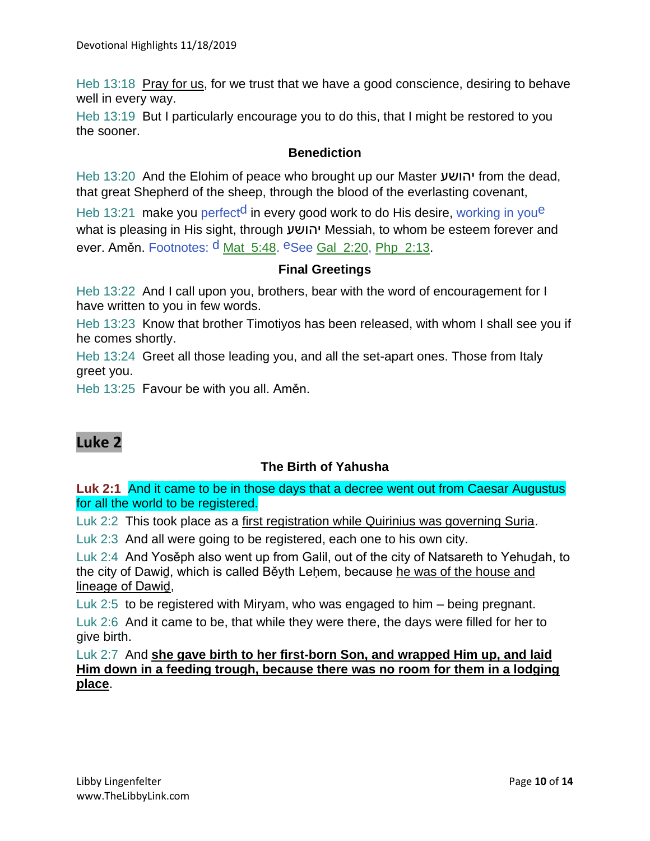Heb 13:18 Pray for us, for we trust that we have a good conscience, desiring to behave well in every way.

Heb 13:19 But I particularly encourage you to do this, that I might be restored to you the sooner.

#### **Benediction**

Heb 13:20 And the Elohim of peace who brought up our Master יהושע from the dead, that great Shepherd of the sheep, through the blood of the everlasting covenant,

Heb 13:21 make you perfect<sup>d</sup> in every good work to do His desire, working in you<sup>e</sup> what is pleasing in His sight, through יהושע Messiah, to whom be esteem forever and ever. Aměn. Footnotes: <sup>d</sup> Mat\_5:48. <sup>e</sup>See Gal\_2:20, Php\_2:13.

## **Final Greetings**

Heb 13:22 And I call upon you, brothers, bear with the word of encouragement for I have written to you in few words.

Heb 13:23 Know that brother Timotiyos has been released, with whom I shall see you if he comes shortly.

Heb 13:24 Greet all those leading you, and all the set-apart ones. Those from Italy greet you.

Heb 13:25 Favour be with you all. Aměn.

# **Luke 2**

#### **The Birth of Yahusha**

**Luk 2:1** And it came to be in those days that a decree went out from Caesar Augustus for all the world to be registered.

Luk 2:2 This took place as a first registration while Quirinius was governing Suria.

Luk 2:3 And all were going to be registered, each one to his own city.

Luk 2:4 And Yosěph also went up from Galil, out of the city of Natsareth to Yehuḏah, to the city of Dawiḏ, which is called Běyth Leḥem, because he was of the house and lineage of Dawiḏ,

Luk 2:5 to be registered with Miryam, who was engaged to him – being pregnant.

Luk 2:6 And it came to be, that while they were there, the days were filled for her to give birth.

Luk 2:7 And **she gave birth to her first-born Son, and wrapped Him up, and laid Him down in a feeding trough, because there was no room for them in a lodging place**.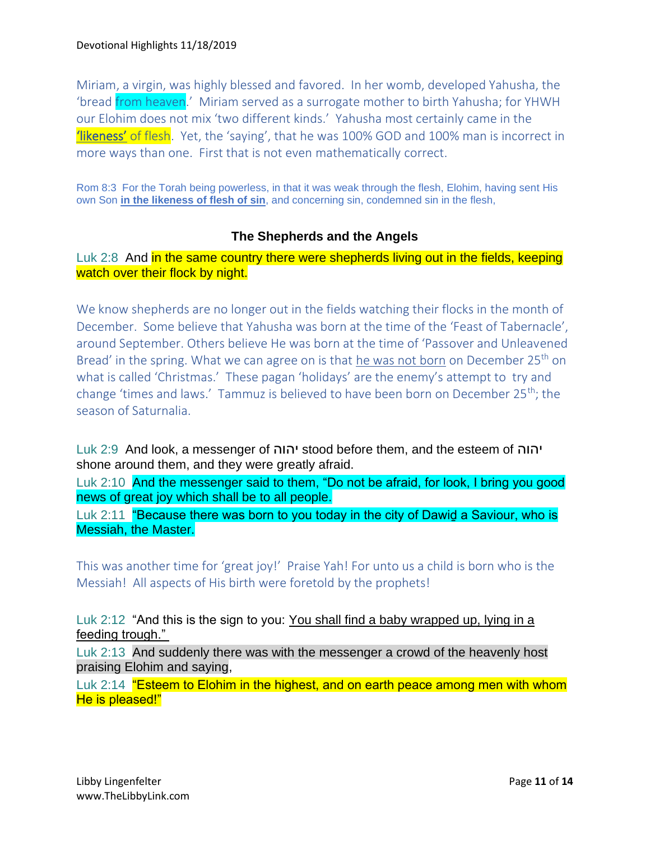Miriam, a virgin, was highly blessed and favored. In her womb, developed Yahusha, the 'bread from heaven.' Miriam served as a surrogate mother to birth Yahusha; for YHWH our Elohim does not mix 'two different kinds.' Yahusha most certainly came in the **'likeness'** of flesh. Yet, the 'saying', that he was 100% GOD and 100% man is incorrect in more ways than one. First that is not even mathematically correct.

Rom 8:3 For the Torah being powerless, in that it was weak through the flesh, Elohim, having sent His own Son **in the likeness of flesh of sin**, and concerning sin, condemned sin in the flesh,

### **The Shepherds and the Angels**

Luk 2:8 And in the same country there were shepherds living out in the fields, keeping watch over their flock by night.

We know shepherds are no longer out in the fields watching their flocks in the month of December. Some believe that Yahusha was born at the time of the 'Feast of Tabernacle', around September. Others believe He was born at the time of 'Passover and Unleavened Bread' in the spring. What we can agree on is that he was not born on December 25<sup>th</sup> on what is called 'Christmas.' These pagan 'holidays' are the enemy's attempt to try and change 'times and laws.' Tammuz is believed to have been born on December 25th; the season of Saturnalia.

Luk 2:9 And look, a messenger of יהוה stood before them, and the esteem of יהוה shone around them, and they were greatly afraid.

Luk 2:10 And the messenger said to them, "Do not be afraid, for look, I bring you good news of great joy which shall be to all people.

Luk 2:11 "Because there was born to you today in the city of Dawid a Saviour, who is Messiah, the Master.

This was another time for 'great joy!' Praise Yah! For unto us a child is born who is the Messiah! All aspects of His birth were foretold by the prophets!

Luk 2:12 "And this is the sign to you: You shall find a baby wrapped up, lying in a feeding trough."

Luk 2:13 And suddenly there was with the messenger a crowd of the heavenly host praising Elohim and saying,

Luk 2:14 "Esteem to Elohim in the highest, and on earth peace among men with whom He is pleased!"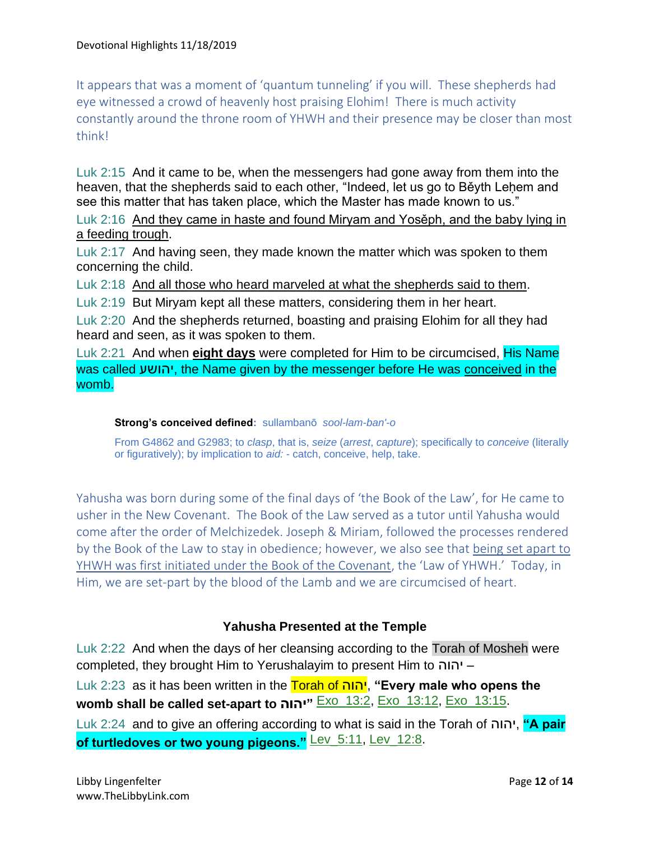It appears that was a moment of 'quantum tunneling' if you will. These shepherds had eye witnessed a crowd of heavenly host praising Elohim! There is much activity constantly around the throne room of YHWH and their presence may be closer than most think!

Luk 2:15 And it came to be, when the messengers had gone away from them into the heaven, that the shepherds said to each other, "Indeed, let us go to Běyth Lehem and see this matter that has taken place, which the Master has made known to us."

Luk 2:16 And they came in haste and found Miryam and Yosěph, and the baby lying in a feeding trough.

Luk 2:17 And having seen, they made known the matter which was spoken to them concerning the child.

Luk 2:18 And all those who heard marveled at what the shepherds said to them.

Luk 2:19 But Miryam kept all these matters, considering them in her heart.

Luk 2:20 And the shepherds returned, boasting and praising Elohim for all they had heard and seen, as it was spoken to them.

Luk 2:21 And when **eight days** were completed for Him to be circumcised, His Name was called יהושע, the Name given by the messenger before He was conceived in the womb.

#### **Strong's conceived defined:** sullambanō *sool-lam-ban'-o*

From G4862 and G2983; to *clasp*, that is, *seize* (*arrest*, *capture*); specifically to *conceive* (literally or figuratively); by implication to *aid:* - catch, conceive, help, take.

Yahusha was born during some of the final days of 'the Book of the Law', for He came to usher in the New Covenant. The Book of the Law served as a tutor until Yahusha would come after the order of Melchizedek. Joseph & Miriam, followed the processes rendered by the Book of the Law to stay in obedience; however, we also see that being set apart to YHWH was first initiated under the Book of the Covenant, the 'Law of YHWH.' Today, in Him, we are set-part by the blood of the Lamb and we are circumcised of heart.

#### **Yahusha Presented at the Temple**

Luk 2:22 And when the days of her cleansing according to the Torah of Mosheh were completed, they brought Him to Yerushalayim to present Him to יהוה– Luk 2:23 as it has been written in the Torah of יהוה,**" Every male who opens the** 

**womb shall be called set-apart to יהוה "**Exo\_13:2, Exo\_13:12, Exo\_13:15.

Luk 2:24 and to give an offering according to what is said in the Torah of יהוה,**" A pair of turtledoves or two young pigeons."** Lev\_5:11, Lev\_12:8.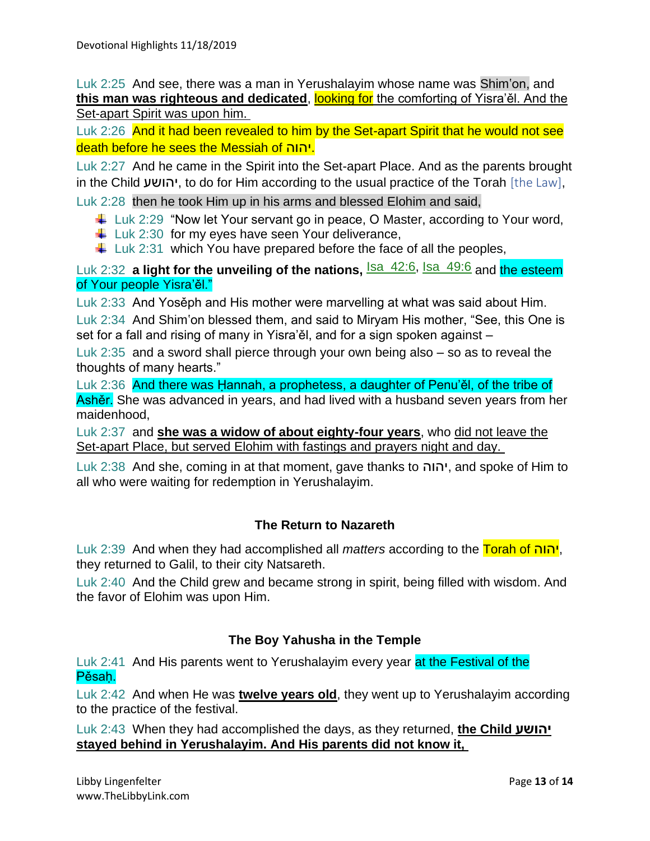Luk 2:25 And see, there was a man in Yerushalayim whose name was Shim'on, and **this man was righteous and dedicated, looking for** the comforting of Yisra'ěl. And the Set-apart Spirit was upon him.

Luk 2:26 And it had been revealed to him by the Set-apart Spirit that he would not see death before he sees the Messiah of יהוה.

Luk 2:27 And he came in the Spirit into the Set-apart Place. And as the parents brought in the Child יהושע, to do for Him according to the usual practice of the Torah [the Law],

Luk 2:28 then he took Him up in his arms and blessed Elohim and said,

- $\downarrow$  Luk 2:29 "Now let Your servant go in peace, O Master, according to Your word,
- $\downarrow$  Luk 2:30 for my eyes have seen Your deliverance,
- $\ddot{\phantom{1}}$  Luk 2:31 which You have prepared before the face of all the peoples,

Luk 2:32 **a light for the unveiling of the nations. Isa\_42:6**, Isa\_49:6 and the esteem of Your people Yisra'ěl."

Luk 2:33 And Yosěph and His mother were marvelling at what was said about Him.

Luk 2:34 And Shim'on blessed them, and said to Miryam His mother, "See, this One is set for a fall and rising of many in Yisra'ěl, and for a sign spoken against –

Luk 2:35 and a sword shall pierce through your own being also – so as to reveal the thoughts of many hearts."

Luk 2:36 And there was Hannah, a prophetess, a daughter of Penu'ěl, of the tribe of Ashěr. She was advanced in years, and had lived with a husband seven years from her maidenhood,

Luk 2:37 and **she was a widow of about eighty-four years**, who did not leave the Set-apart Place, but served Elohim with fastings and prayers night and day.

Luk 2:38 And she, coming in at that moment, gave thanks to יהוה, and spoke of Him to all who were waiting for redemption in Yerushalayim.

# **The Return to Nazareth**

Luk 2:39 And when they had accomplished all *matters* according to the Torah of יהוה, they returned to Galil, to their city Natsareth.

Luk 2:40 And the Child grew and became strong in spirit, being filled with wisdom. And the favor of Elohim was upon Him.

#### **The Boy Yahusha in the Temple**

Luk 2:41 And His parents went to Yerushalayim every year at the Festival of the Pěsah.

Luk 2:42 And when He was **twelve years old**, they went up to Yerushalayim according to the practice of the festival.

Luk 2:43 When they had accomplished the days, as they returned, **the Child יהושע stayed behind in Yerushalayim. And His parents did not know it,**